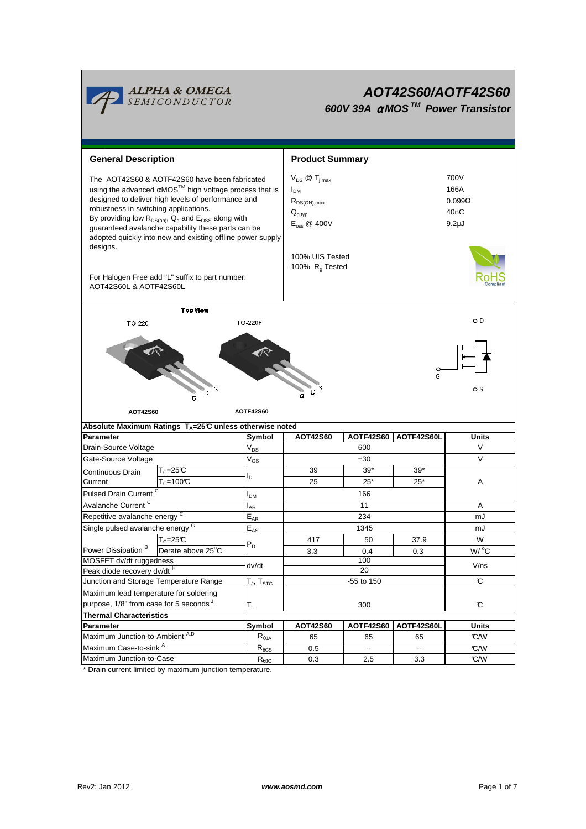

# **AOT42S60/AOTF42S60**

**600V 39A** <sup>α</sup> **MOS TM Power Transistor**

| <b>General Description</b>                                                                                                                                                                                                                                                                                                                                                                                                                                             |                                                                    |                            | <b>Product Summary</b>                                                                                                                                   |                  |                          |                                                           |  |  |
|------------------------------------------------------------------------------------------------------------------------------------------------------------------------------------------------------------------------------------------------------------------------------------------------------------------------------------------------------------------------------------------------------------------------------------------------------------------------|--------------------------------------------------------------------|----------------------------|----------------------------------------------------------------------------------------------------------------------------------------------------------|------------------|--------------------------|-----------------------------------------------------------|--|--|
| The AOT42S60 & AOTF42S60 have been fabricated<br>using the advanced αMOS <sup>™</sup> high voltage process that is<br>designed to deliver high levels of performance and<br>robustness in switching applications.<br>By providing low $R_{DS(on)}$ , $Q_g$ and $E_{OSS}$ along with<br>guaranteed avalanche capability these parts can be<br>adopted quickly into new and existing offline power supply<br>designs.<br>For Halogen Free add "L" suffix to part number: |                                                                    |                            | $V_{DS}$ @ $T_{i,max}$<br>I <sub>DM</sub><br>$R_{DS(ON),max}$<br>$Q_{g,typ}$<br>$E_{\text{oss}}$ @ 400V<br>100% UIS Tested<br>100% R <sub>q</sub> Tested |                  |                          | 700V<br>166A<br>$0.099\Omega$<br>40nC<br>9.2 <sub>µ</sub> |  |  |
| AOT42S60L & AOTF42S60L                                                                                                                                                                                                                                                                                                                                                                                                                                                 |                                                                    |                            |                                                                                                                                                          |                  |                          |                                                           |  |  |
| <b>Top View</b>                                                                                                                                                                                                                                                                                                                                                                                                                                                        |                                                                    |                            |                                                                                                                                                          |                  |                          |                                                           |  |  |
| <b>TO 220F</b><br>TO 220                                                                                                                                                                                                                                                                                                                                                                                                                                               |                                                                    |                            |                                                                                                                                                          |                  |                          | оD                                                        |  |  |
| AOT42S60                                                                                                                                                                                                                                                                                                                                                                                                                                                               | D                                                                  | Ò S                        |                                                                                                                                                          |                  |                          |                                                           |  |  |
|                                                                                                                                                                                                                                                                                                                                                                                                                                                                        | Absolute Maximum Ratings $T_A = 25^\circ C$ unless otherwise noted |                            |                                                                                                                                                          |                  |                          |                                                           |  |  |
| Parameter                                                                                                                                                                                                                                                                                                                                                                                                                                                              |                                                                    | Symbol                     | AOT42S60                                                                                                                                                 | <b>AOTF42S60</b> | AOTF42S60L               | Units                                                     |  |  |
| Drain-Source Voltage                                                                                                                                                                                                                                                                                                                                                                                                                                                   |                                                                    | $V_{DS}$                   |                                                                                                                                                          | V                |                          |                                                           |  |  |
| Gate-Source Voltage                                                                                                                                                                                                                                                                                                                                                                                                                                                    |                                                                    | $\mathsf{V}_{\mathsf{GS}}$ |                                                                                                                                                          | ±30              |                          | V                                                         |  |  |
| Continuous Drain                                                                                                                                                                                                                                                                                                                                                                                                                                                       | $T_c = 25C$                                                        |                            | 39                                                                                                                                                       | $39*$            | $39*$                    |                                                           |  |  |
| Current                                                                                                                                                                                                                                                                                                                                                                                                                                                                | $T_c = 100C$                                                       | l <sub>D</sub>             | 25                                                                                                                                                       | $25*$            | $25*$                    | Α                                                         |  |  |
| Pulsed Drain Current <sup>C</sup>                                                                                                                                                                                                                                                                                                                                                                                                                                      |                                                                    | l <sub>DM</sub>            |                                                                                                                                                          |                  |                          |                                                           |  |  |
| Avalanche Current <sup>C</sup>                                                                                                                                                                                                                                                                                                                                                                                                                                         |                                                                    | l <sub>AR</sub>            |                                                                                                                                                          | A                |                          |                                                           |  |  |
| Repetitive avalanche energy C                                                                                                                                                                                                                                                                                                                                                                                                                                          |                                                                    | $\mathsf{E}_{\mathsf{AR}}$ |                                                                                                                                                          | mJ               |                          |                                                           |  |  |
| Single pulsed avalanche energy G                                                                                                                                                                                                                                                                                                                                                                                                                                       |                                                                    | $E_{AS}$                   |                                                                                                                                                          | mJ               |                          |                                                           |  |  |
|                                                                                                                                                                                                                                                                                                                                                                                                                                                                        | T <sub>C</sub> =25℃                                                |                            | 417                                                                                                                                                      | 50               | 37.9                     | W                                                         |  |  |
| Power Dissipation <sup>B</sup>                                                                                                                                                                                                                                                                                                                                                                                                                                         | Derate above 25°C                                                  | $P_D$                      | 3.3                                                                                                                                                      | 0.4              | 0.3                      | $W/$ <sup>o</sup> C                                       |  |  |
| MOSFET dv/dt ruggedness                                                                                                                                                                                                                                                                                                                                                                                                                                                |                                                                    | dv/dt                      | 100                                                                                                                                                      |                  |                          | V/ns                                                      |  |  |
| Peak diode recovery dv/dt <sup>H</sup>                                                                                                                                                                                                                                                                                                                                                                                                                                 |                                                                    |                            | 20                                                                                                                                                       |                  |                          |                                                           |  |  |
| Junction and Storage Temperature Range                                                                                                                                                                                                                                                                                                                                                                                                                                 |                                                                    | $T_J$ , $T_{STG}$          |                                                                                                                                                          | $\mathcal{C}$    |                          |                                                           |  |  |
| Maximum lead temperature for soldering                                                                                                                                                                                                                                                                                                                                                                                                                                 |                                                                    |                            |                                                                                                                                                          |                  |                          |                                                           |  |  |
| purpose, 1/8" from case for 5 seconds J                                                                                                                                                                                                                                                                                                                                                                                                                                |                                                                    | $T_L$                      |                                                                                                                                                          | $\mathbf c$      |                          |                                                           |  |  |
| <b>Thermal Characteristics</b>                                                                                                                                                                                                                                                                                                                                                                                                                                         |                                                                    |                            |                                                                                                                                                          |                  |                          |                                                           |  |  |
| Parameter                                                                                                                                                                                                                                                                                                                                                                                                                                                              |                                                                    | Symbol                     | AOT42S60                                                                                                                                                 | <b>AOTF42S60</b> | AOTF42S60L               | <b>Units</b>                                              |  |  |
| Maximum Junction-to-Ambient A,D                                                                                                                                                                                                                                                                                                                                                                                                                                        |                                                                    | $R_{\theta$ JA             | 65                                                                                                                                                       | 65               | 65                       | C/W                                                       |  |  |
|                                                                                                                                                                                                                                                                                                                                                                                                                                                                        |                                                                    |                            |                                                                                                                                                          |                  |                          |                                                           |  |  |
| Maximum Case-to-sink A<br>Maximum Junction-to-Case                                                                                                                                                                                                                                                                                                                                                                                                                     |                                                                    | $R_{\theta CS}$            | 0.5                                                                                                                                                      | --               | $\overline{\phantom{a}}$ | C/W                                                       |  |  |

\* Drain current limited by maximum junction temperature.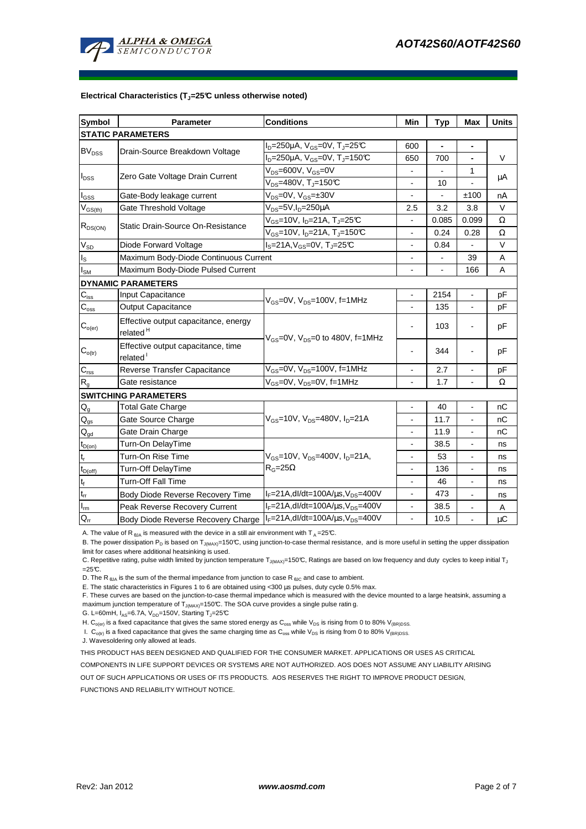

#### **Electrical Characteristics (TJ=25°C unless otherwise noted)**

| <b>Symbol</b>               | Parameter                                                    | <b>Conditions</b>                                             | Min                      | <b>Typ</b> | <b>Max</b>               | <b>Units</b> |  |  |  |  |
|-----------------------------|--------------------------------------------------------------|---------------------------------------------------------------|--------------------------|------------|--------------------------|--------------|--|--|--|--|
| <b>STATIC PARAMETERS</b>    |                                                              |                                                               |                          |            |                          |              |  |  |  |  |
| <b>BV<sub>DSS</sub></b>     |                                                              | $I_D = 250 \mu A$ , $V_{GS} = 0V$ , $T_J = 25 \text{C}$       | 600                      |            | $\blacksquare$           |              |  |  |  |  |
|                             | Drain-Source Breakdown Voltage                               | $I_D = 250 \mu A$ , V <sub>GS</sub> =0V, T <sub>J</sub> =150℃ | 650                      | 700        | $\blacksquare$           | V            |  |  |  |  |
| $I_{DSS}$                   |                                                              | $V_{DS} = 600V, V_{GS} = 0V$                                  |                          |            | 1                        |              |  |  |  |  |
|                             | Zero Gate Voltage Drain Current                              | $V_{DS}$ =480V, T <sub>J</sub> =150°C                         |                          | 10         |                          | μA           |  |  |  |  |
| $I_{GSS}$                   | Gate-Body leakage current                                    | $V_{DS}$ =0V, $V_{GS}$ =±30V                                  |                          |            | ±100                     | nA           |  |  |  |  |
| $V_{GS(th)}$                | Gate Threshold Voltage                                       | V <sub>DS</sub> =5V,I <sub>D</sub> =250µA                     | 2.5                      | 3.2        | 3.8                      | V            |  |  |  |  |
| $R_{DS(ON)}$                | Static Drain-Source On-Resistance                            | $V_{GS}$ =10V, I <sub>D</sub> =21A, T <sub>J</sub> =25°C      |                          | 0.085      | 0.099                    | Ω            |  |  |  |  |
|                             |                                                              | $V_{GS}$ =10V, I <sub>D</sub> =21A, T <sub>J</sub> =150℃      | 0.24<br>$\overline{a}$   |            | 0.28                     | Ω            |  |  |  |  |
| $\rm V_{\rm SD}$            | Diode Forward Voltage                                        | $I_S = 21A, V_{GS} = 0V, T_J = 25C$                           | $\overline{a}$           | 0.84       |                          | V            |  |  |  |  |
| $\mathsf{I}_\mathsf{S}$     | Maximum Body-Diode Continuous Current                        |                                                               |                          |            | 39                       | Α            |  |  |  |  |
| $I_{\text{SM}}$             | Maximum Body-Diode Pulsed Current                            |                                                               |                          |            | 166                      | A            |  |  |  |  |
|                             | <b>DYNAMIC PARAMETERS</b>                                    |                                                               |                          |            |                          |              |  |  |  |  |
| $C_{iss}$                   | Input Capacitance                                            | $V_{GS}$ =0V, $V_{DS}$ =100V, f=1MHz                          |                          | 2154       |                          | рF           |  |  |  |  |
| $C_{\text{oss}}$            | <b>Output Capacitance</b>                                    |                                                               |                          | 135        | $\blacksquare$           | рF           |  |  |  |  |
| $\mathbf{C}_{o(er)}$        | Effective output capacitance, energy<br>related <sup>H</sup> | $V_{GS}$ =0V, $V_{DS}$ =0 to 480V, f=1MHz                     |                          | 103        |                          | pF           |  |  |  |  |
| $\mathbf{C}_{\text{o(tr)}}$ | Effective output capacitance, time<br>related <sup>1</sup>   |                                                               |                          | 344        |                          | pF           |  |  |  |  |
| $C_{\rm rss}$               | Reverse Transfer Capacitance                                 | $V_{GS}$ =0V, $V_{DS}$ =100V, f=1MHz                          |                          | 2.7        | $\overline{a}$           | рF           |  |  |  |  |
| $R_{q}$                     | Gate resistance                                              | V <sub>GS</sub> =0V, V <sub>DS</sub> =0V, f=1MHz              |                          | 1.7        |                          | Ω            |  |  |  |  |
|                             | <b>SWITCHING PARAMETERS</b>                                  |                                                               |                          |            |                          |              |  |  |  |  |
| $Q_g$                       | <b>Total Gate Charge</b>                                     |                                                               |                          | 40         |                          | nC           |  |  |  |  |
| $\mathsf{Q}_{\text{gs}}$    | Gate Source Charge                                           | $V_{GS}$ =10V, $V_{DS}$ =480V, $I_{D}$ =21A                   | $\overline{\phantom{a}}$ | 11.7       | $\overline{\phantom{a}}$ | nC           |  |  |  |  |
| $\mathsf{Q}_{\text{gd}}$    | Gate Drain Charge                                            |                                                               |                          | 11.9       |                          | nC           |  |  |  |  |
| $t_{D(on)}$                 | Turn-On DelayTime                                            |                                                               |                          | 38.5       |                          | ns           |  |  |  |  |
| $t_r$                       | Turn-On Rise Time                                            | $V_{GS}$ =10V, $V_{DS}$ =400V, $I_{D}$ =21A,                  |                          | 53         | $\blacksquare$           | ns           |  |  |  |  |
| $t_{D(off)}$                | Turn-Off DelayTime                                           | $R_G = 25\Omega$                                              | $\overline{\phantom{a}}$ | 136        | $\blacksquare$           | ns           |  |  |  |  |
| $\mathsf{t}_{\mathsf{f}}$   | Turn-Off Fall Time                                           |                                                               |                          | 46         | $\blacksquare$           | ns           |  |  |  |  |
| $t_{rr}$                    | Body Diode Reverse Recovery Time                             | $I_F = 21A$ , dl/dt=100A/ $\mu$ s, V <sub>DS</sub> =400V      |                          | 473        |                          | ns           |  |  |  |  |
| $I_{\underline{m}}$         | Peak Reverse Recovery Current                                | $I_F = 21A$ , dl/dt=100A/ $\mu$ s, V <sub>DS</sub> =400V      |                          | 38.5       | $\overline{\phantom{a}}$ | Α            |  |  |  |  |
| $Q_{rr}$                    | Body Diode Reverse Recovery Charge                           | $I_F = 21A$ , dl/dt=100A/ $\mu$ s, V <sub>DS</sub> =400V      | $\blacksquare$           | 10.5       | $\overline{a}$           | $\mu C$      |  |  |  |  |

A. The value of R  $_{\theta$ JA is measured with the device in a still air environment with T A = 25°C.

B. The power dissipation P<sub>D</sub> is based on T<sub>J(MAX)</sub>=150°C, using junction-to-case thermal resistance, and is more useful in setting the upper dissipation limit for cases where additional heatsinking is used.

C. Repetitive rating, pulse width limited by junction temperature T<sub>J(MAX)</sub>=150°C, Ratings are based on low frequency and duty cycles to keep initial T<sub>J</sub>  $=25C$ .

D. The R  $_{\text{BJA}}$  is the sum of the thermal impedance from junction to case R  $_{\text{BJC}}$  and case to ambient.

E. The static characteristics in Figures 1 to 6 are obtained using <300 µs pulses, duty cycle 0.5% max.

F. These curves are based on the junction-to-case thermal impedance which is measured with the device mounted to a large heatsink, assuming a maximum junction temperature of  $T_{J(MAX)}$ =150°C. The SOA curve provides a single pulse ratin g.

G. L=60mH,  $I_{AS}$ =6.7A,  $V_{DD}$ =150V, Starting T<sub>J</sub>=25°C

H. C<sub>o(er)</sub> is a fixed capacitance that gives the same stored energy as C<sub>oss</sub> while V<sub>DS</sub> is rising from 0 to 80% V<sub>(BR)DSS</sub>.

I.  $C_{o(t)}$  is a fixed capacitance that gives the same charging time as  $C_{oss}$  while  $V_{DS}$  is rising from 0 to 80%  $V_{(BR)DSS}$ .

J. Wavesoldering only allowed at leads.

THIS PRODUCT HAS BEEN DESIGNED AND QUALIFIED FOR THE CONSUMER MARKET. APPLICATIONS OR USES AS CRITICAL

COMPONENTS IN LIFE SUPPORT DEVICES OR SYSTEMS ARE NOT AUTHORIZED. AOS DOES NOT ASSUME ANY LIABILITY ARISING

OUT OF SUCH APPLICATIONS OR USES OF ITS PRODUCTS. AOS RESERVES THE RIGHT TO IMPROVE PRODUCT DESIGN,

FUNCTIONS AND RELIABILITY WITHOUT NOTICE.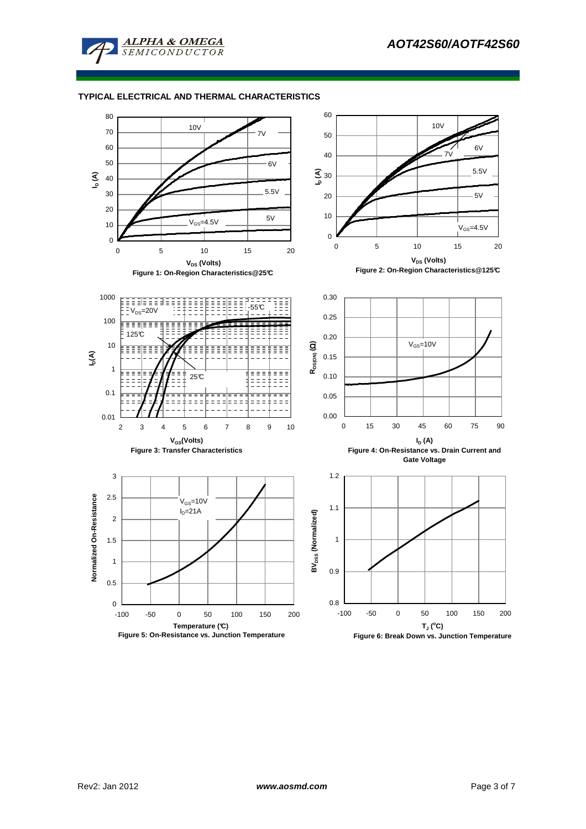

## **TYPICAL ELECTRICAL AND THERMAL CHARACTERISTICS**

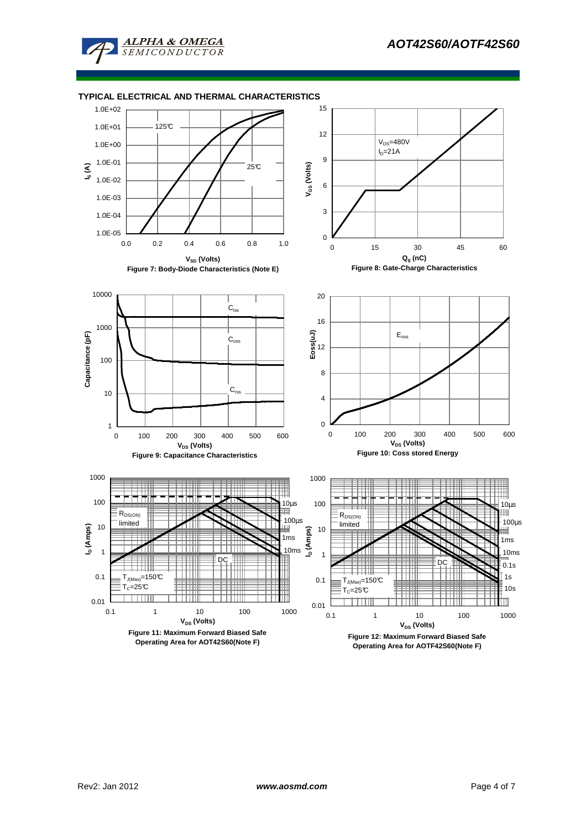



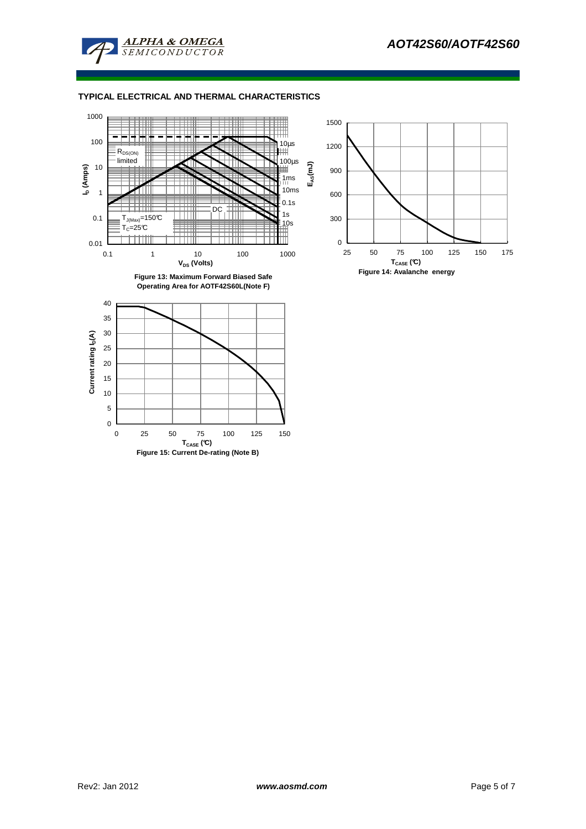

### **TYPICAL ELECTRICAL AND THERMAL CHARACTERISTICS**



0 25 50 75 100 125 150 **TCASE (°C) Figure 15: Current De-rating (Note B)**



 $\overline{0}$ 5 10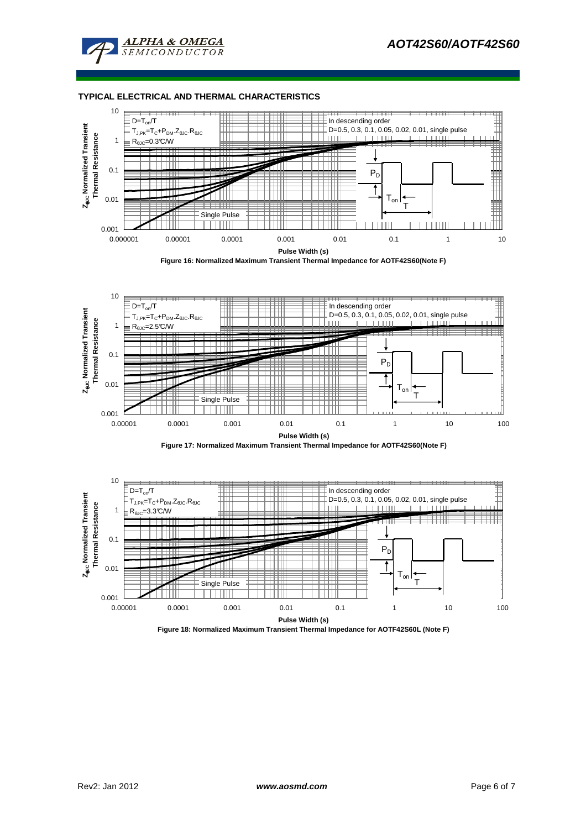

#### **TYPICAL ELECTRICAL AND THERMAL CHARACTERISTICS**



**Figure 16: Normalized Maximum Transient Thermal Impedance for AOTF42S60(Note F)**







**Figure 18: Normalized Maximum Transient Thermal Impedance for AOTF42S60L (Note F)**